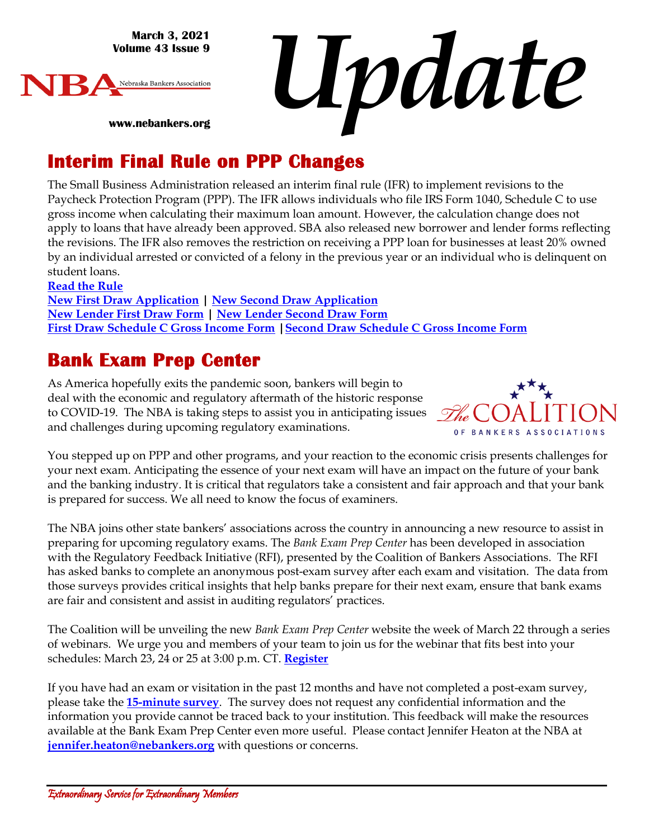**March 3, 2021 Volume 43 Issue 9**



*Update*

**www.nebankers.org**

#### **Interim Final Rule on PPP Changes**

The Small Business Administration released an interim final rule (IFR) to implement revisions to the Paycheck Protection Program (PPP). The IFR allows individuals who file IRS Form 1040, Schedule C to use gross income when calculating their maximum loan amount. However, the calculation change does not apply to loans that have already been approved. SBA also released new borrower and lender forms reflecting the revisions. The IFR also removes the restriction on receiving a PPP loan for businesses at least 20% owned by an individual arrested or convicted of a felony in the previous year or an individual who is delinquent on student loans.

**[Read the Rule](https://www.sba.gov/sites/default/files/2021-03/SBA%20PPP%20IFR%20Loan%20Amount%20Calculation%20and%20Eligibility%20%283-3-21%29.pdf) New [First Draw Application](https://home.treasury.gov/system/files/136/PPP-Borrower-Application-Form.pdf) | New [Second Draw Application](https://home.treasury.gov/system/files/136/PPP-Second-Draw-Borrower-Application-Form.pdf) New [Lender First Draw Form](https://home.treasury.gov/system/files/136/PPP-Lender-Application-Form.pdf) | New [Lender Second Draw Form](https://home.treasury.gov/system/files/136/PPP-Second-Draw-Lender-Application-Form-508_0.pdf) [First Draw Schedule C Gross Income Form](https://home.treasury.gov/system/files/136/PPP-Borrower-Application-Form-for-Schedule-C-Filers-Using-Gross-Income.pdf) [|Second Draw Schedule C Gross Income Form](https://home.treasury.gov/system/files/136/PPP-Second-Draw-Borrower-Application-Form-for-Schedule-C-Filers-Using-Gross-Income.pdf)**

#### **Bank Exam Prep Center**

As America hopefully exits the pandemic soon, bankers will begin to deal with the economic and regulatory aftermath of the historic response to COVID-19. The NBA is taking steps to assist you in anticipating issues and challenges during upcoming regulatory examinations.



You stepped up on PPP and other programs, and your reaction to the economic crisis presents challenges for your next exam. Anticipating the essence of your next exam will have an impact on the future of your bank and the banking industry. It is critical that regulators take a consistent and fair approach and that your bank is prepared for success. We all need to know the focus of examiners.

The NBA joins other state bankers' associations across the country in announcing a new resource to assist in preparing for upcoming regulatory exams. The *Bank Exam Prep Center* has been developed in association with the Regulatory Feedback Initiative (RFI), presented by the Coalition of Bankers Associations. The RFI has asked banks to complete an anonymous post-exam survey after each exam and visitation. The data from those surveys provides critical insights that help banks prepare for their next exam, ensure that bank exams are fair and consistent and assist in auditing regulators' practices.

The Coalition will be unveiling the new *Bank Exam Prep Center* website the week of March 22 through a series of webinars. We urge you and members of your team to join us for the webinar that fits best into your schedules: March 23, 24 or 25 at 3:00 p.m. CT. **[Register](https://register.gotowebinar.com/rt/1628021991579272973)**

If you have had an exam or visitation in the past 12 months and have not completed a post-exam survey, please take the **[15-minute survey](https://allbankers.org/link79204516.html)**. The survey does not request any confidential information and the information you provide cannot be traced back to your institution. This feedback will make the resources available at the Bank Exam Prep Center even more useful. Please contact Jennifer Heaton at the NBA at **[jennifer.heaton@nebankers.org](mailto:jennifer.heaton@nebankers.org)** with questions or concerns.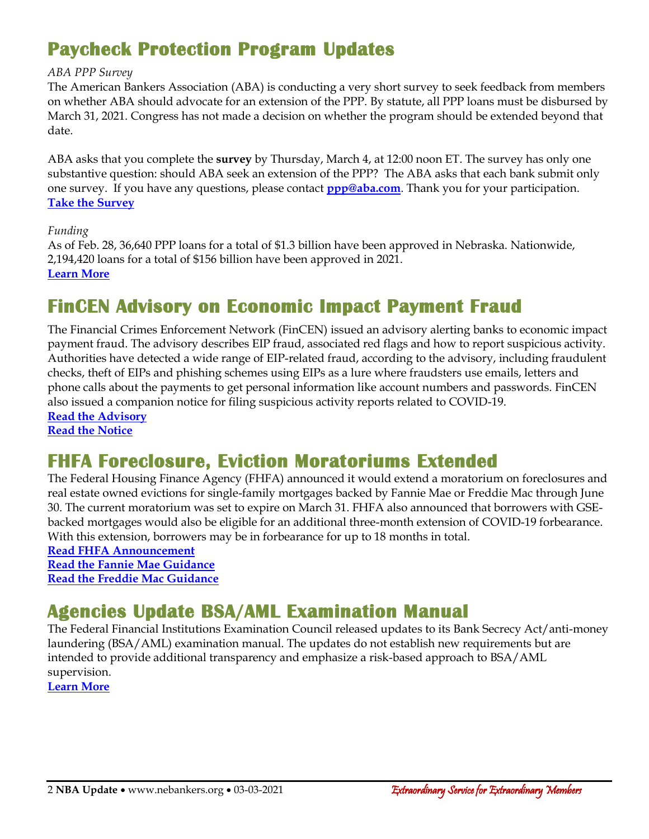# **Paycheck Protection Program Updates**

#### *ABA PPP Survey*

The American Bankers Association (ABA) is conducting a very short survey to seek feedback from members on whether ABA should advocate for an extension of the PPP. By statute, all PPP loans must be disbursed by March 31, 2021. Congress has not made a decision on whether the program should be extended beyond that date.

ABA asks that you complete the **survey** by Thursday, March 4, at 12:00 noon ET. The survey has only one substantive question: should ABA seek an extension of the PPP? The ABA asks that each bank submit only one survey. If you have any questions, please contact **[ppp@aba.com](mailto:ppp@aba.com)**. Thank you for your participation. **[Take the Survey](https://aba.qualtrics.com/jfe/form/SV_bE2BUrz5KkbZ86G)**

#### *Funding*

As of Feb. 28, 36,640 PPP loans for a total of \$1.3 billion have been approved in Nebraska. Nationwide, 2,194,420 loans for a total of \$156 billion have been approved in 2021. **[Learn More](https://www.sba.gov/sites/default/files/2021-03/PPP_Report_Public_210228-508.pdf)**

#### **FinCEN Advisory on Economic Impact Payment Fraud**

The Financial Crimes Enforcement Network (FinCEN) issued an advisory alerting banks to economic impact payment fraud. The advisory describes EIP fraud, associated red flags and how to report suspicious activity. Authorities have detected a wide range of EIP-related fraud, according to the advisory, including fraudulent checks, theft of EIPs and phishing schemes using EIPs as a lure where fraudsters use emails, letters and phone calls about the payments to get personal information like account numbers and passwords. FinCEN also issued a companion notice for filing suspicious activity reports related to COVID-19. **[Read the Advisory](https://www.fincen.gov/sites/default/files/advisory/2021-02-25/Advisory%20EIP%20FINAL%20508.pdf)**

**[Read the Notice](https://www.fincen.gov/sites/default/files/shared/Consolidated%20COVID-19%20Notice%20508%20Final.pdf)**

#### **FHFA Foreclosure, Eviction Moratoriums Extended**

The Federal Housing Finance Agency (FHFA) announced it would extend a moratorium on foreclosures and real estate owned evictions for single-family mortgages backed by Fannie Mae or Freddie Mac through June 30. The current moratorium was set to expire on March 31. FHFA also announced that borrowers with GSEbacked mortgages would also be eligible for an additional three-month extension of COVID-19 forbearance. With this extension, borrowers may be in forbearance for up to 18 months in total.

**[Read FHFA Announcement](https://www.fhfa.gov/Media/PublicAffairs/Pages/FHFA-Extends-COVID-19-Forbearance-Period-and-Foreclosure-and-REO-Eviction-Moratoriums.aspx) [Read the Fannie Mae](https://singlefamily.fanniemae.com/media/25121/display) Guidance [Read the Freddie Mac](https://guide.freddiemac.com/app/guide/bulletin/2021-8) Guidance**

#### **Agencies Update BSA/AML Examination Manual**

The Federal Financial Institutions Examination Council released updates to its Bank Secrecy Act/anti-money laundering (BSA/AML) examination manual. The updates do not establish new requirements but are intended to provide additional transparency and emphasize a risk-based approach to BSA/AML supervision.

**[Learn More](https://www.ffiec.gov/press/pr022521.htm)**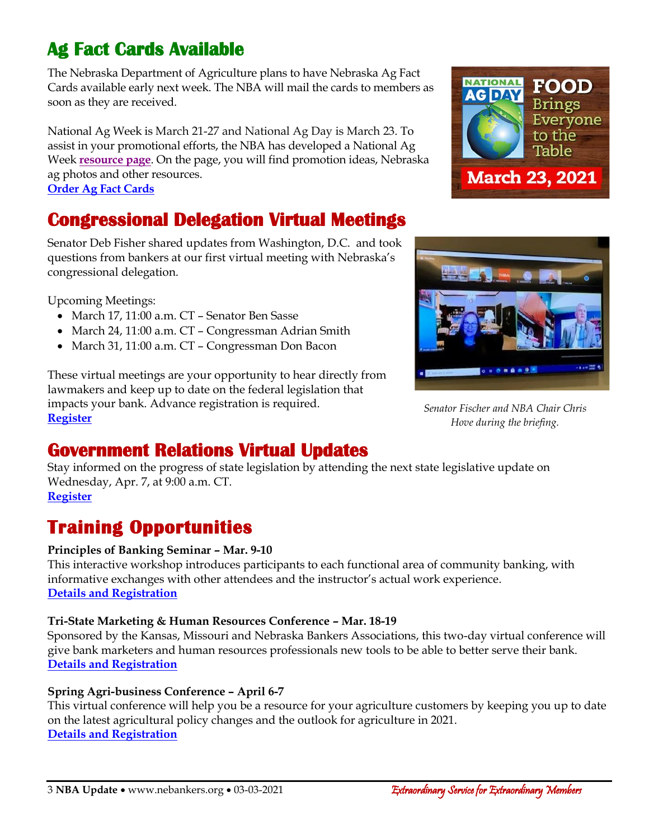# **Ag Fact Cards Available**

The Nebraska Department of Agriculture plans to have Nebraska Ag Fact Cards available early next week. The NBA will mail the cards to members as soon as they are received.

National Ag Week is March 21-27 and National Ag Day is March 23. To assist in your promotional efforts, the NBA has developed a National Ag Week **[resource page](https://www.nebankers.org/agweek.html)**. On the page, you will find promotion ideas, Nebraska ag photos and other resources. **[Order Ag Fact Cards](https://www.nebankers.org/agweek.html)**

# **Congressional Delegation Virtual Meetings**

Senator Deb Fisher shared updates from Washington, D.C. and took questions from bankers at our first virtual meeting with Nebraska's congressional delegation.

Upcoming Meetings:

- March 17, 11:00 a.m. CT Senator Ben Sasse
- March 24, 11:00 a.m. CT Congressman Adrian Smith
- March 31, 11:00 a.m. CT Congressman Don Bacon

These virtual meetings are your opportunity to hear directly from lawmakers and keep up to date on the federal legislation that impacts your bank. Advance registration is required. **[Register](https://us02web.zoom.us/j/84918938516?pwd=ZytRV2djR0wvUjB3ak1SZXBPaUZjUT09)**





*Senator Fischer and NBA Chair Chris Hove during the briefing.*

#### **Government Relations Virtual Updates**

Stay informed on the progress of state legislation by attending the next state legislative update on Wednesday, Apr. 7, at 9:00 a.m. CT. **[Register](https://us02web.zoom.us/j/84333727213?pwd=SEpCa3F6OWh2N3kzaFlmRVFmYXBCUT09)**

# **Training Opportunities**

#### **Principles of Banking Seminar – Mar. 9-10**

This interactive workshop introduces participants to each functional area of community banking, with informative exchanges with other attendees and the instructor's actual work experience. **[Details and Registration](https://nebraskabankersneassoc.wliinc21.com/events/2021Principles%20of%20Banking%20Virtual%20Seminar-11679/details)**

#### **Tri-State Marketing & Human Resources Conference – Mar. 18-19**

Sponsored by the Kansas, Missouri and Nebraska Bankers Associations, this two-day virtual conference will give bank marketers and human resources professionals new tools to be able to better serve their bank. **[Details and Registration](https://nebraskabankersneassoc.wliinc21.com/events/2021TriState%20Marketing%20%20Human%20Resources%20Conference-11702/details)**

#### **Spring Agri-business Conference – April 6-7**

This virtual conference will help you be a resource for your agriculture customers by keeping you up to date on the latest agricultural policy changes and the outlook for agriculture in 2021. **[Details and Registration](https://web.nebankers.org/events/2021Spring%20Agribusiness%20Virtual%20Conference-11584/details)**